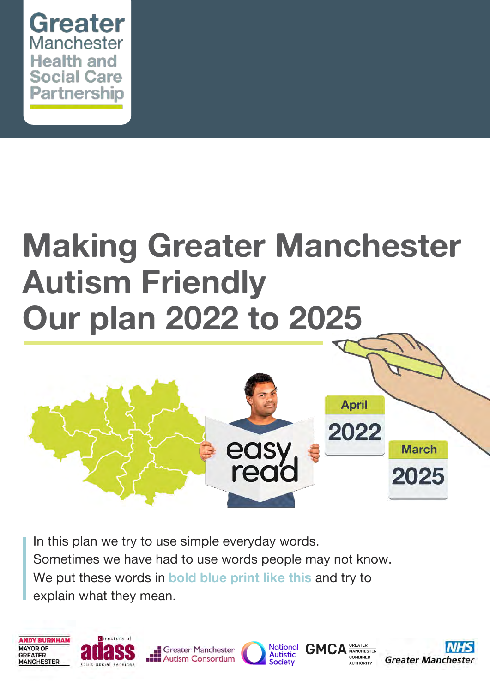

# **Making Greater Manchester Autism Friendly Our plan 2022 to 2025**



In this plan we try to use simple everyday words. Sometimes we have had to use words people may not know. We put these words in **bold blue print like this** and try to explain what they mean.

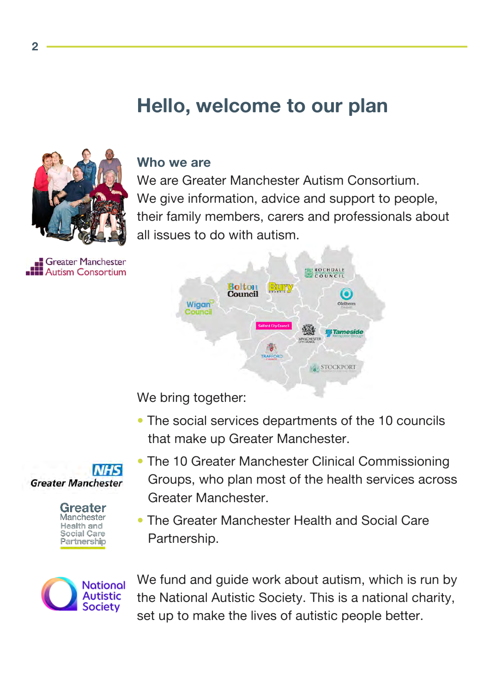### **Hello, welcome to our plan**



Greater Manchester **Autism Consortium** 

#### **Who we are**

We are Greater Manchester Autism Consortium. We give information, advice and support to people, their family members, carers and professionals about all issues to do with autism.



We bring together:

- The social services departments of the 10 councils that make up Greater Manchester.
- The 10 Greater Manchester Clinical Commissioning Groups, who plan most of the health services across Greater Manchester.
- The Greater Manchester Health and Social Care Partnership.



We fund and guide work about autism, which is run by the National Autistic Society. This is a national charity, set up to make the lives of autistic people better.



**Greater** Manchester Health and **Social Care** Partnership

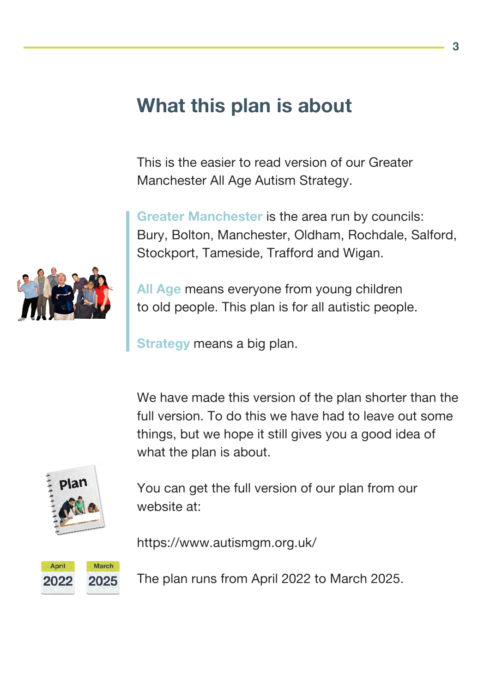### **What this plan is about**

This is the easier to read version of our Greater Manchester All Age Autism Strategy.

**Greater Manchester** is the area run by councils: Bury, Bolton, Manchester, Oldham, Rochdale, Salford, Stockport, Tameside, Trafford and Wigan.



**All Age** means everyone from young children to old people. This plan is for all autistic people.

**Strategy** means a big plan.

We have made this version of the plan shorter than the full version. To do this we have had to leave out some things, but we hope it still gives you a good idea of what the plan is about.



You can get the full version of our plan from our website at:

https://www.autismgm.org.uk/

**April** March 2025 2022

The plan runs from April 2022 to March 2025.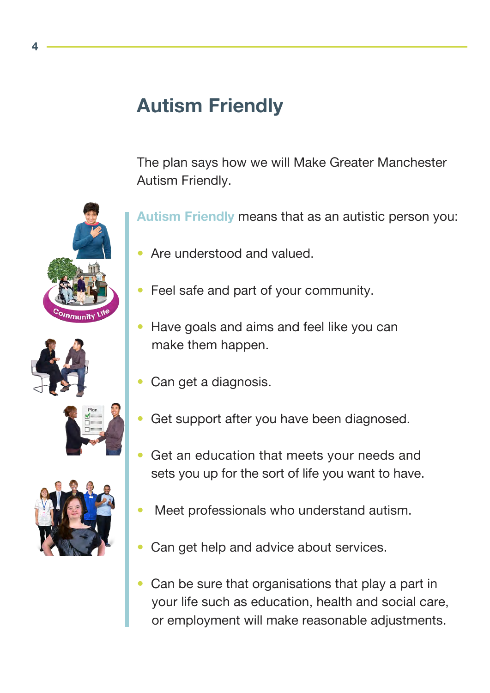## **Autism Friendly**

The plan says how we will Make Greater Manchester Autism Friendly.

**Autism Friendly** means that as an autistic person you:

- Are understood and valued.
- Feel safe and part of your community.
- Have goals and aims and feel like you can make them happen.
- Can get a diagnosis.
- Get support after you have been diagnosed.
- Get an education that meets your needs and sets you up for the sort of life you want to have.
- Meet professionals who understand autism.
- Can get help and advice about services.
- Can be sure that organisations that play a part in your life such as education, health and social care, or employment will make reasonable adjustments.





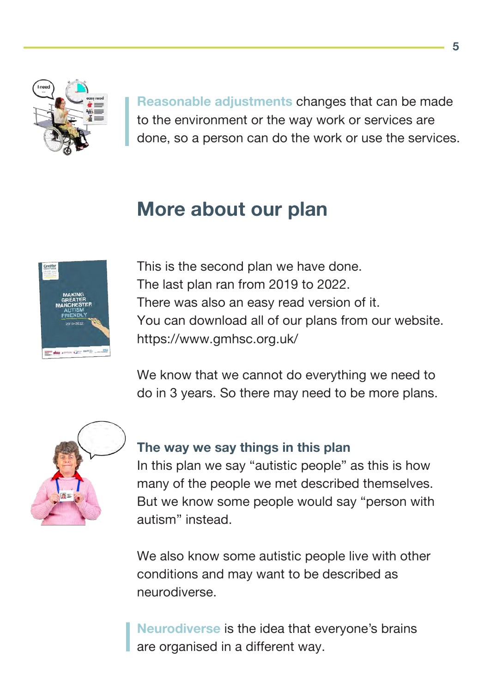

**Reasonable adjustments** changes that can be made to the environment or the way work or services are done, so a person can do the work or use the services.

### **More about our plan**



This is the second plan we have done. The last plan ran from 2019 to 2022. There was also an easy read version of it. You can download all of our plans from our website. https://www.gmhsc.org.uk/

We know that we cannot do everything we need to do in 3 years. So there may need to be more plans.



#### **The way we say things in this plan**

In this plan we say "autistic people" as this is how many of the people we met described themselves. But we know some people would say "person with autism" instead.

We also know some autistic people live with other conditions and may want to be described as neurodiverse.

**Neurodiverse** is the idea that everyone's brains are organised in a different way.

**5**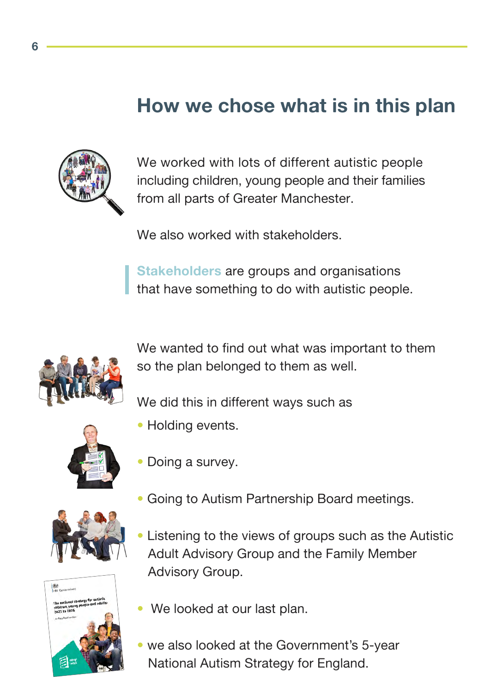### **How we chose what is in this plan**



We worked with lots of different autistic people including children, young people and their families from all parts of Greater Manchester.

We also worked with stakeholders.

**Stakeholders** are groups and organisations that have something to do with autistic people.



We wanted to find out what was important to them so the plan belonged to them as well.

We did this in different ways such as



- Holding events.
- Doing a survey.





- Going to Autism Partnership Board meetings.
- Listening to the views of groups such as the Autistic Adult Advisory Group and the Family Member Advisory Group.
- We looked at our last plan.
- we also looked at the Government's 5-year National Autism Strategy for England.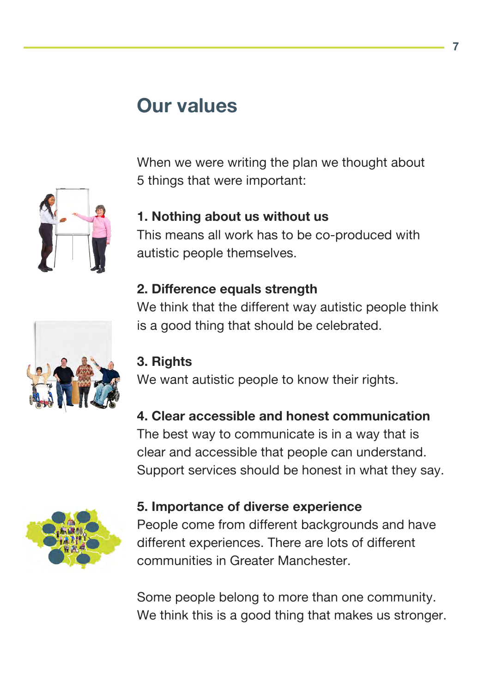### **Our values**

When we were writing the plan we thought about 5 things that were important:

#### **1. Nothing about us without us**

This means all work has to be co-produced with autistic people themselves.

#### **2. Difference equals strength**

We think that the different way autistic people think is a good thing that should be celebrated.

#### **3. Rights**

We want autistic people to know their rights.

#### **4. Clear accessible and honest communication**

The best way to communicate is in a way that is clear and accessible that people can understand. Support services should be honest in what they say.

#### **5. Importance of diverse experience**

People come from different backgrounds and have different experiences. There are lots of different communities in Greater Manchester.

Some people belong to more than one community. We think this is a good thing that makes us stronger.



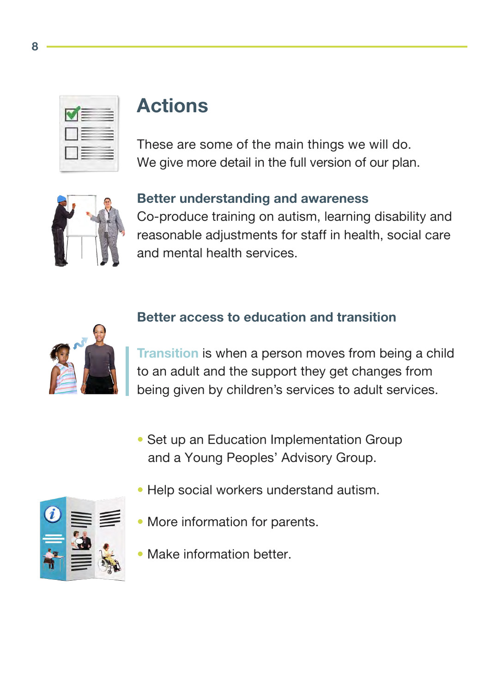### **Actions**

These are some of the main things we will do. We give more detail in the full version of our plan.



#### **Better understanding and awareness**

Co-produce training on autism, learning disability and reasonable adjustments for staff in health, social care and mental health services.



#### **Better access to education and transition**

**Transition** is when a person moves from being a child to an adult and the support they get changes from being given by children's services to adult services.

- Set up an Education Implementation Group and a Young Peoples' Advisory Group.
- Help social workers understand autism.
- More information for parents.
- Make information better.

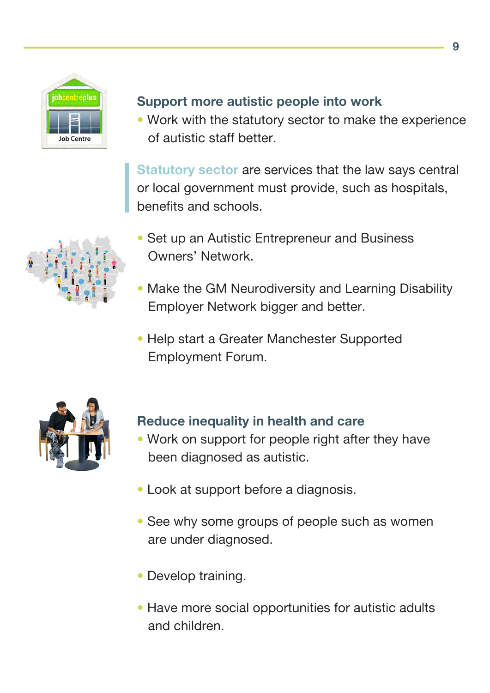

#### **Support more autistic people into work**

• Work with the statutory sector to make the experience of autistic staff better.

**Statutory sector** are services that the law says central or local government must provide, such as hospitals, benefits and schools.

- Set up an Autistic Entrepreneur and Business Owners' Network.
- Make the GM Neurodiversity and Learning Disability Employer Network bigger and better.
- Help start a Greater Manchester Supported Employment Forum.



#### **Reduce inequality in health and care**

- Work on support for people right after they have been diagnosed as autistic.
- Look at support before a diagnosis.
- See why some groups of people such as women are under diagnosed.
- Develop training.
- Have more social opportunities for autistic adults and children.

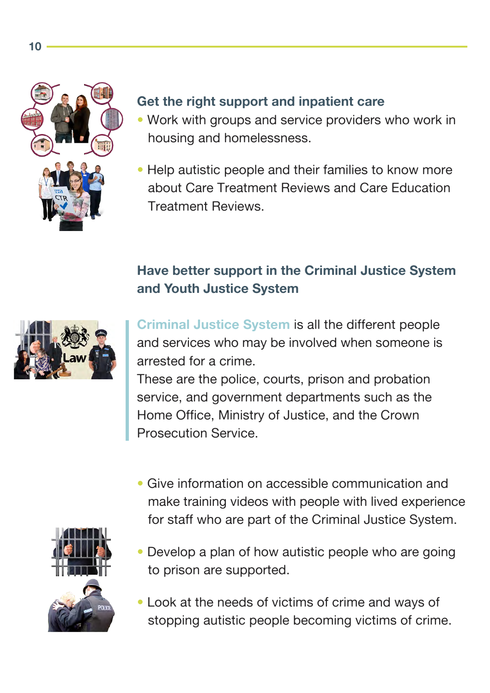

### **Get the right support and inpatient care**

- Work with groups and service providers who work in housing and homelessness.
- Help autistic people and their families to know more about Care Treatment Reviews and Care Education Treatment Reviews.

### **Have better support in the Criminal Justice System and Youth Justice System**



**Criminal Justice System** is all the different people and services who may be involved when someone is arrested for a crime.

These are the police, courts, prison and probation service, and government departments such as the Home Office, Ministry of Justice, and the Crown Prosecution Service.

• Give information on accessible communication and make training videos with people with lived experience for staff who are part of the Criminal Justice System.



- Develop a plan of how autistic people who are going to prison are supported.
- Look at the needs of victims of crime and ways of stopping autistic people becoming victims of crime.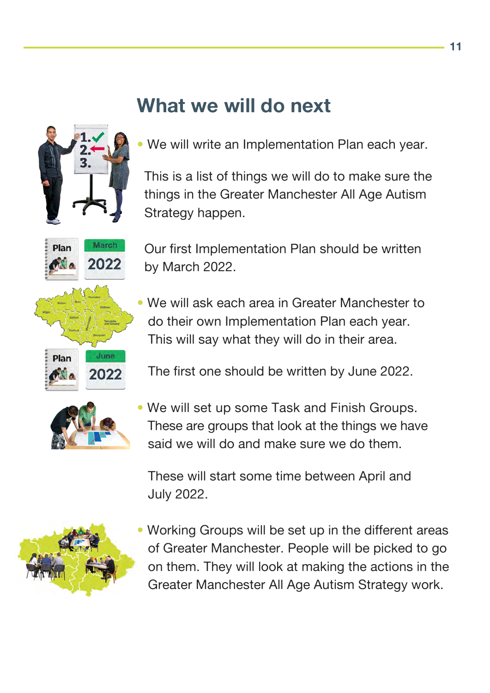## **What we will do next**



Plan

Me

Plan

**ANGLO** 

March

2022

June

2022

• We will write an Implementation Plan each year.

This is a list of things we will do to make sure the things in the Greater Manchester All Age Autism Strategy happen.

Our first Implementation Plan should be written by March 2022.

• We will ask each area in Greater Manchester to do their own Implementation Plan each year. This will say what they will do in their area.

The first one should be written by June 2022.



• We will set up some Task and Finish Groups. These are groups that look at the things we have said we will do and make sure we do them.

These will start some time between April and July 2022.



• Working Groups will be set up in the different areas of Greater Manchester. People will be picked to go on them. They will look at making the actions in the Greater Manchester All Age Autism Strategy work.